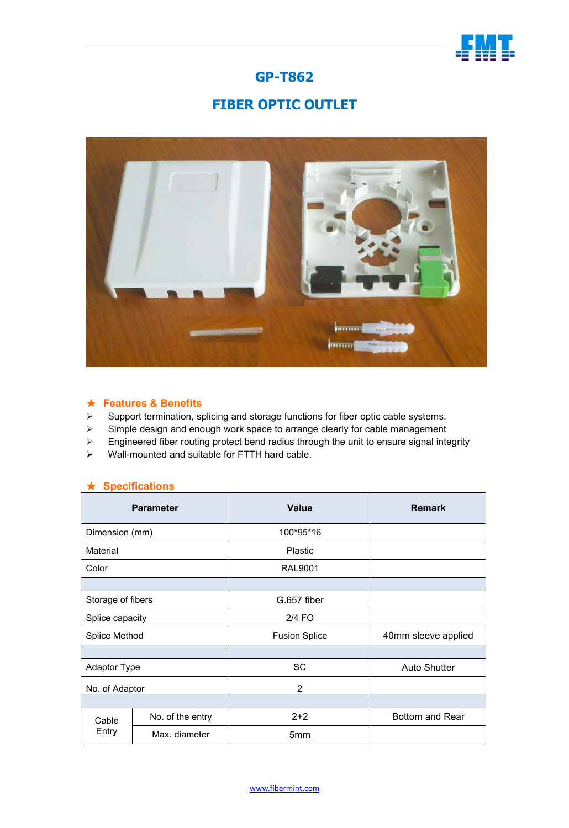

## **GP-T862**

# **FIBER OPTIC OUTLET**



### ★ **Features & Benefits**

- $\triangleright$  Support termination, splicing and storage functions for fiber optic cable systems.
- $\triangleright$  Simple design and enough work space to arrange clearly for cable management
- $\triangleright$  Engineered fiber routing protect bend radius through the unit to ensure signal integrity
- $\triangleright$  Wall-mounted and suitable for FTTH hard cable.

#### ★ **Specifications**

| <b>Parameter</b>    |                  | <b>Value</b>         | <b>Remark</b>       |
|---------------------|------------------|----------------------|---------------------|
| Dimension (mm)      |                  | 100*95*16            |                     |
| Material            |                  | Plastic              |                     |
| Color               |                  | <b>RAL9001</b>       |                     |
|                     |                  |                      |                     |
| Storage of fibers   |                  | G.657 fiber          |                     |
| Splice capacity     |                  | $2/4$ FO             |                     |
| Splice Method       |                  | <b>Fusion Splice</b> | 40mm sleeve applied |
|                     |                  |                      |                     |
| <b>Adaptor Type</b> |                  | <b>SC</b>            | <b>Auto Shutter</b> |
| No. of Adaptor      |                  | $\overline{2}$       |                     |
|                     |                  |                      |                     |
| Cable<br>Entry      | No. of the entry | $2 + 2$              | Bottom and Rear     |
|                     | Max. diameter    | 5mm                  |                     |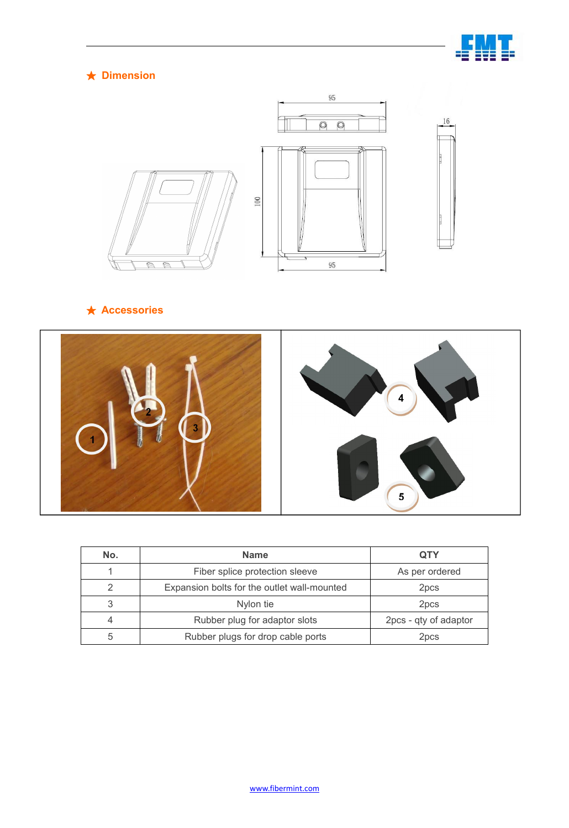

## ★ **Dimension**



## ★ **Accessories**



| No. | <b>Name</b>                                 | <b>QTY</b>            |
|-----|---------------------------------------------|-----------------------|
|     | Fiber splice protection sleeve              | As per ordered        |
|     | Expansion bolts for the outlet wall-mounted | 2pcs                  |
|     | Nylon tie                                   | 2 <sub>pcs</sub>      |
|     | Rubber plug for adaptor slots               | 2pcs - qty of adaptor |
| 5   | Rubber plugs for drop cable ports           | 2 <sub>pcs</sub>      |